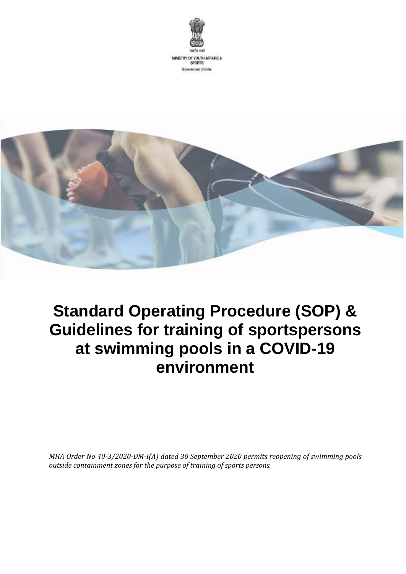



# **Standard Operating Procedure (SOP) & Guidelines for training of sportspersons at swimming pools in a COVID-19 environment**

*MHA Order No 40-3/2020-DM-I(A) dated 30 September 2020 permits reopening of swimming pools outside containment zones for the purpose of training of sports persons.*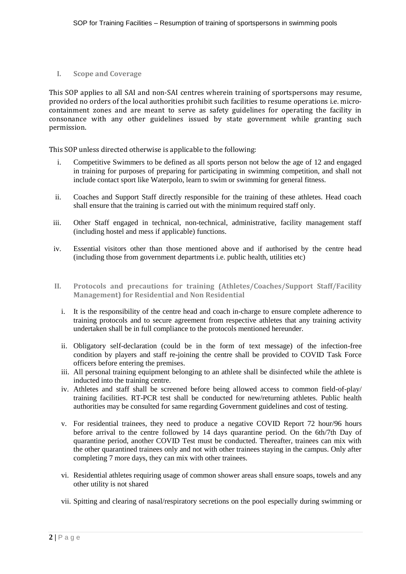**I. Scope and Coverage**

This SOP applies to all SAI and non-SAI centres wherein training of sportspersons may resume, provided no orders of the local authorities prohibit such facilities to resume operations i.e. microcontainment zones and are meant to serve as safety guidelines for operating the facility in consonance with any other guidelines issued by state government while granting such permission.

This SOP unless directed otherwise is applicable to the following:

- i. Competitive Swimmers to be defined as all sports person not below the age of 12 and engaged in training for purposes of preparing for participating in swimming competition, and shall not include contact sport like Waterpolo, learn to swim or swimming for general fitness.
- ii. Coaches and Support Staff directly responsible for the training of these athletes. Head coach shall ensure that the training is carried out with the minimum required staff only.
- iii. Other Staff engaged in technical, non-technical, administrative, facility management staff (including hostel and mess if applicable) functions.
- iv. Essential visitors other than those mentioned above and if authorised by the centre head (including those from government departments i.e. public health, utilities etc)
- **II. Protocols and precautions for training (Athletes/Coaches/Support Staff/Facility Management) for Residential and Non Residential** 
	- i. It is the responsibility of the centre head and coach in-charge to ensure complete adherence to training protocols and to secure agreement from respective athletes that any training activity undertaken shall be in full compliance to the protocols mentioned hereunder.
	- ii. Obligatory self-declaration (could be in the form of text message) of the infection-free condition by players and staff re-joining the centre shall be provided to COVID Task Force officers before entering the premises.
	- iii. All personal training equipment belonging to an athlete shall be disinfected while the athlete is inducted into the training centre.
	- iv. Athletes and staff shall be screened before being allowed access to common field-of-play/ training facilities. RT-PCR test shall be conducted for new/returning athletes. Public health authorities may be consulted for same regarding Government guidelines and cost of testing.
	- v. For residential trainees, they need to produce a negative COVID Report 72 hour/96 hours before arrival to the centre followed by 14 days quarantine period. On the 6th/7th Day of quarantine period, another COVID Test must be conducted. Thereafter, trainees can mix with the other quarantined trainees only and not with other trainees staying in the campus. Only after completing 7 more days, they can mix with other trainees.
	- vi. Residential athletes requiring usage of common shower areas shall ensure soaps, towels and any other utility is not shared
	- vii. Spitting and clearing of nasal/respiratory secretions on the pool especially during swimming or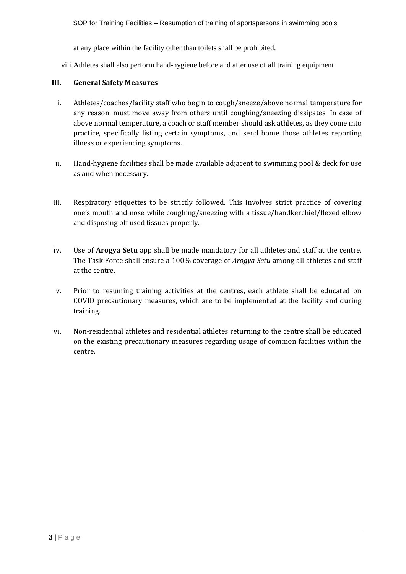at any place within the facility other than toilets shall be prohibited.

viii.Athletes shall also perform hand-hygiene before and after use of all training equipment

# **III. General Safety Measures**

- i. Athletes/coaches/facility staff who begin to cough/sneeze/above normal temperature for any reason, must move away from others until coughing/sneezing dissipates. In case of above normal temperature, a coach or staff member should ask athletes, as they come into practice, specifically listing certain symptoms, and send home those athletes reporting illness or experiencing symptoms.
- ii. Hand-hygiene facilities shall be made available adjacent to swimming pool & deck for use as and when necessary.
- iii. Respiratory etiquettes to be strictly followed. This involves strict practice of covering one's mouth and nose while coughing/sneezing with a tissue/handkerchief/flexed elbow and disposing off used tissues properly.
- iv. Use of **Arogya Setu** app shall be made mandatory for all athletes and staff at the centre. The Task Force shall ensure a 100% coverage of *Arogya Setu* among all athletes and staff at the centre.
- v. Prior to resuming training activities at the centres, each athlete shall be educated on COVID precautionary measures, which are to be implemented at the facility and during training.
- vi. Non-residential athletes and residential athletes returning to the centre shall be educated on the existing precautionary measures regarding usage of common facilities within the centre.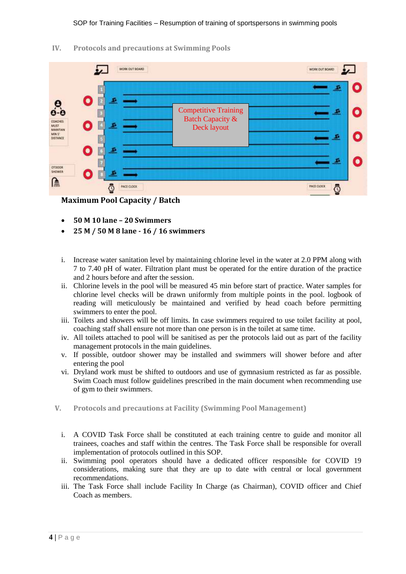**IV. Protocols and precautions at Swimming Pools** 



**Maximum Pool Capacity / Batch**

- **50 M 10 lane – 20 Swimmers**
- **25 M / 50 M 8 lane - 16 / 16 swimmers**
- i. Increase water sanitation level by maintaining chlorine level in the water at 2.0 PPM along with 7 to 7.40 pH of water. Filtration plant must be operated for the entire duration of the practice and 2 hours before and after the session.
- ii. Chlorine levels in the pool will be measured 45 min before start of practice. Water samples for chlorine level checks will be drawn uniformly from multiple points in the pool. logbook of reading will meticulously be maintained and verified by head coach before permitting swimmers to enter the pool.
- iii. Toilets and showers will be off limits. In case swimmers required to use toilet facility at pool, coaching staff shall ensure not more than one person is in the toilet at same time.
- iv. All toilets attached to pool will be sanitised as per the protocols laid out as part of the facility management protocols in the main guidelines.
- v. If possible, outdoor shower may be installed and swimmers will shower before and after entering the pool
- vi. Dryland work must be shifted to outdoors and use of gymnasium restricted as far as possible. Swim Coach must follow guidelines prescribed in the main document when recommending use of gym to their swimmers.
- **V. Protocols and precautions at Facility (Swimming Pool Management)**
	- i. A COVID Task Force shall be constituted at each training centre to guide and monitor all trainees, coaches and staff within the centres. The Task Force shall be responsible for overall implementation of protocols outlined in this SOP.
	- ii. Swimming pool operators should have a dedicated officer responsible for COVID 19 considerations, making sure that they are up to date with central or local government recommendations.
	- iii. The Task Force shall include Facility In Charge (as Chairman), COVID officer and Chief Coach as members.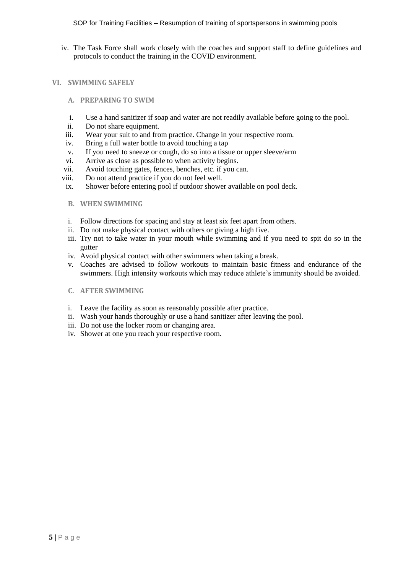iv. The Task Force shall work closely with the coaches and support staff to define guidelines and protocols to conduct the training in the COVID environment.

#### **VI. SWIMMING SAFELY**

- **A. PREPARING TO SWIM**
- i. Use a hand sanitizer if soap and water are not readily available before going to the pool.
- ii. Do not share equipment.
- iii. Wear your suit to and from practice. Change in your respective room.
- iv. Bring a full water bottle to avoid touching a tap
- v. If you need to sneeze or cough, do so into a tissue or upper sleeve/arm
- vi. Arrive as close as possible to when activity begins.
- vii. Avoid touching gates, fences, benches, etc. if you can.
- viii. Do not attend practice if you do not feel well.
- ix. Shower before entering pool if outdoor shower available on pool deck.
- **B. WHEN SWIMMING**
- i. Follow directions for spacing and stay at least six feet apart from others.
- ii. Do not make physical contact with others or giving a high five.
- iii. Try not to take water in your mouth while swimming and if you need to spit do so in the gutter
- iv. Avoid physical contact with other swimmers when taking a break.
- v. Coaches are advised to follow workouts to maintain basic fitness and endurance of the swimmers. High intensity workouts which may reduce athlete's immunity should be avoided.
- **C. AFTER SWIMMING**
- i. Leave the facility as soon as reasonably possible after practice.
- ii. Wash your hands thoroughly or use a hand sanitizer after leaving the pool.
- iii. Do not use the locker room or changing area.
- iv. Shower at one you reach your respective room.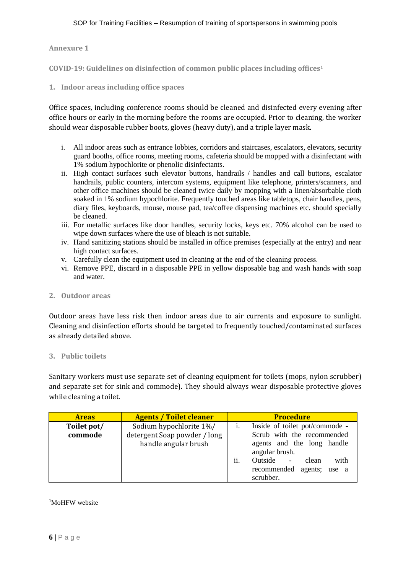**Annexure 1**

**COVID-19: Guidelines on disinfection of common public places including offices<sup>1</sup>**

**1. Indoor areas including office spaces**

Office spaces, including conference rooms should be cleaned and disinfected every evening after office hours or early in the morning before the rooms are occupied. Prior to cleaning, the worker should wear disposable rubber boots, gloves (heavy duty), and a triple layer mask.

- i. All indoor areas such as entrance lobbies, corridors and staircases, escalators, elevators, security guard booths, office rooms, meeting rooms, cafeteria should be mopped with a disinfectant with 1% sodium hypochlorite or phenolic disinfectants.
- ii. High contact surfaces such elevator buttons, handrails / handles and call buttons, escalator handrails, public counters, intercom systems, equipment like telephone, printers/scanners, and other office machines should be cleaned twice daily by mopping with a linen/absorbable cloth soaked in 1% sodium hypochlorite. Frequently touched areas like tabletops, chair handles, pens, diary files, keyboards, mouse, mouse pad, tea/coffee dispensing machines etc. should specially be cleaned.
- iii. For metallic surfaces like door handles, security locks, keys etc. 70% alcohol can be used to wipe down surfaces where the use of bleach is not suitable.
- iv. Hand sanitizing stations should be installed in office premises (especially at the entry) and near high contact surfaces.
- v. Carefully clean the equipment used in cleaning at the end of the cleaning process.
- vi. Remove PPE, discard in a disposable PPE in yellow disposable bag and wash hands with soap and water.

#### **2. Outdoor areas**

Outdoor areas have less risk then indoor areas due to air currents and exposure to sunlight. Cleaning and disinfection efforts should be targeted to frequently touched/contaminated surfaces as already detailed above.

#### **3. Public toilets**

Sanitary workers must use separate set of cleaning equipment for toilets (mops, nylon scrubber) and separate set for sink and commode). They should always wear disposable protective gloves while cleaning a toilet.

| <b>Areas</b> | <b>Agents / Toilet cleaner</b> | <b>Procedure</b>                                                                                      |
|--------------|--------------------------------|-------------------------------------------------------------------------------------------------------|
| Toilet pot/  | Sodium hypochlorite 1%/        | Inside of toilet pot/commode -                                                                        |
| commode      | detergent Soap powder / long   | Scrub with the recommended                                                                            |
|              | handle angular brush           | agents and the long handle<br>angular brush.                                                          |
|              |                                | ii.<br>Outside<br>with<br>clean<br>$\overline{\phantom{a}}$<br>recommended agents; use a<br>scrubber. |

1 <sup>1</sup>MoHFW website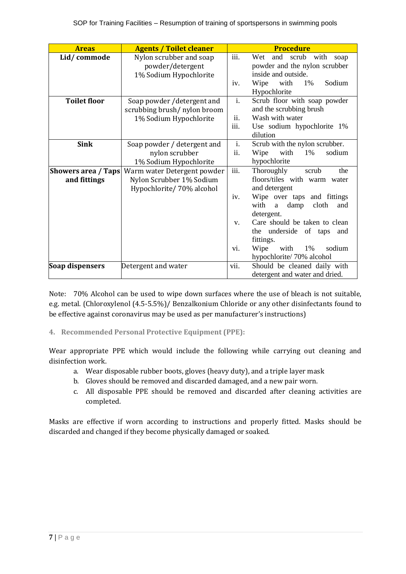| <b>Areas</b>               | <b>Agents / Toilet cleaner</b> |                  | <b>Procedure</b>                  |  |  |
|----------------------------|--------------------------------|------------------|-----------------------------------|--|--|
| Lid/commode                | Nylon scrubber and soap        | iii.             | Wet<br>and scrub with<br>soap     |  |  |
|                            | powder/detergent               |                  | powder and the nylon scrubber     |  |  |
|                            | 1% Sodium Hypochlorite         |                  | inside and outside.               |  |  |
|                            |                                | iv.              | Sodium<br>1%<br>Wipe<br>with      |  |  |
|                            |                                |                  | Hypochlorite                      |  |  |
| <b>Toilet floor</b>        | Soap powder / detergent and    | $\mathbf{i}$ .   | Scrub floor with soap powder      |  |  |
|                            | scrubbing brush/ nylon broom   |                  | and the scrubbing brush           |  |  |
|                            | 1% Sodium Hypochlorite         | ii.              | Wash with water                   |  |  |
|                            |                                | iii.             | Use sodium hypochlorite 1%        |  |  |
|                            |                                |                  | dilution                          |  |  |
| <b>Sink</b>                | Soap powder / detergent and    | $\overline{i}$ . | Scrub with the nylon scrubber.    |  |  |
|                            | nylon scrubber                 | ii.              | sodium<br>with<br>1%<br>Wipe      |  |  |
|                            | 1% Sodium Hypochlorite         |                  | hypochlorite                      |  |  |
| <b>Showers area / Taps</b> | Warm water Detergent powder    | iii.             | Thoroughly<br>scrub<br>the        |  |  |
| and fittings               | Nylon Scrubber 1% Sodium       |                  | floors/tiles with warm water      |  |  |
|                            | Hypochlorite/70% alcohol       |                  | and detergent                     |  |  |
|                            |                                | iv.              | Wipe over taps and fittings       |  |  |
|                            |                                |                  | with<br>damp<br>cloth<br>and<br>a |  |  |
|                            |                                |                  | detergent.                        |  |  |
|                            |                                | V.               | Care should be taken to clean     |  |  |
|                            |                                |                  | the underside of taps<br>and      |  |  |
|                            |                                |                  | fittings.                         |  |  |
|                            |                                | vi.              | sodium<br>Wipe<br>with<br>1%      |  |  |
|                            |                                |                  | hypochlorite/70% alcohol          |  |  |
| Soap dispensers            | Detergent and water            | vii.             | Should be cleaned daily with      |  |  |
|                            |                                |                  | detergent and water and dried.    |  |  |

Note: 70% Alcohol can be used to wipe down surfaces where the use of bleach is not suitable, e.g. metal. (Chloroxylenol (4.5-5.5%)/ Benzalkonium Chloride or any other disinfectants found to be effective against coronavirus may be used as per manufacturer's instructions)

**4. Recommended Personal Protective Equipment (PPE):**

Wear appropriate PPE which would include the following while carrying out cleaning and disinfection work.

- a. Wear disposable rubber boots, gloves (heavy duty), and a triple layer mask
- b. Gloves should be removed and discarded damaged, and a new pair worn.
- c. All disposable PPE should be removed and discarded after cleaning activities are completed.

Masks are effective if worn according to instructions and properly fitted. Masks should be discarded and changed if they become physically damaged or soaked.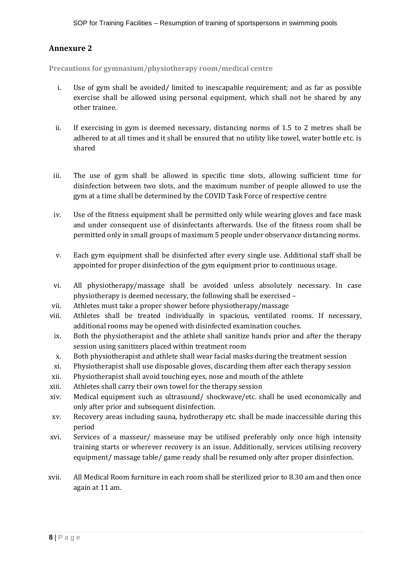# **Annexure 2**

**Precautions for gymnasium/physiotherapy room/medical centre**

- i. Use of gym shall be avoided/ limited to inescapable requirement; and as far as possible exercise shall be allowed using personal equipment, which shall not be shared by any other trainee.
- ii. If exercising in gym is deemed necessary, distancing norms of 1.5 to 2 metres shall be adhered to at all times and it shall be ensured that no utility like towel, water bottle etc. is shared
- iii. The use of gym shall be allowed in specific time slots, allowing sufficient time for disinfection between two slots, and the maximum number of people allowed to use the gym at a time shall be determined by the COVID Task Force of respective centre
- iv. Use of the fitness equipment shall be permitted only while wearing gloves and face mask and under consequent use of disinfectants afterwards. Use of the fitness room shall be permitted only in small groups of maximum 5 people under observance distancing norms.
- v. Each gym equipment shall be disinfected after every single use. Additional staff shall be appointed for proper disinfection of the gym equipment prior to continuous usage.
- vi. All physiotherapy/massage shall be avoided unless absolutely necessary. In case physiotherapy is deemed necessary, the following shall be exercised –
- vii. Athletes must take a proper shower before physiotherapy/massage
- viii. Athletes shall be treated individually in spacious, ventilated rooms. If necessary, additional rooms may be opened with disinfected examination couches.
- ix. Both the physiotherapist and the athlete shall sanitize hands prior and after the therapy session using sanitizers placed within treatment room
- x. Both physiotherapist and athlete shall wear facial masks during the treatment session
- xi. Physiotherapist shall use disposable gloves, discarding them after each therapy session
- xii. Physiotherapist shall avoid touching eyes, nose and mouth of the athlete
- xiii. Athletes shall carry their own towel for the therapy session
- xiv. Medical equipment such as ultrasound/ shockwave/etc. shall be used economically and only after prior and subsequent disinfection.
- xv. Recovery areas including sauna, hydrotherapy etc. shall be made inaccessible during this period
- xvi. Services of a masseur/ masseuse may be utilised preferably only once high intensity training starts or wherever recovery is an issue. Additionally, services utilising recovery equipment/ massage table/ game ready shall be resumed only after proper disinfection.
- xvii. All Medical Room furniture in each room shall be sterilized prior to 8.30 am and then once again at 11 am.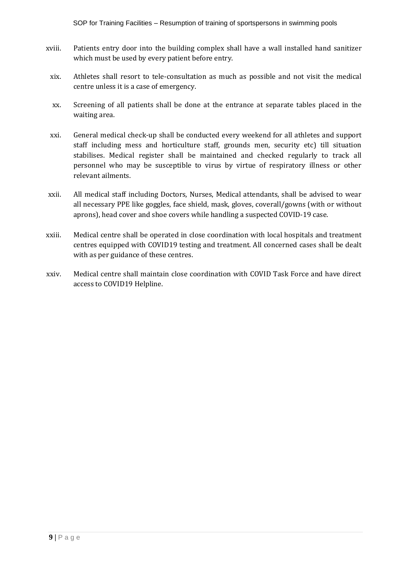SOP for Training Facilities – Resumption of training of sportspersons in swimming pools

- xviii. Patients entry door into the building complex shall have a wall installed hand sanitizer which must be used by every patient before entry.
- xix. Athletes shall resort to tele-consultation as much as possible and not visit the medical centre unless it is a case of emergency.
- xx. Screening of all patients shall be done at the entrance at separate tables placed in the waiting area.
- xxi. General medical check-up shall be conducted every weekend for all athletes and support staff including mess and horticulture staff, grounds men, security etc) till situation stabilises. Medical register shall be maintained and checked regularly to track all personnel who may be susceptible to virus by virtue of respiratory illness or other relevant ailments.
- xxii. All medical staff including Doctors, Nurses, Medical attendants, shall be advised to wear all necessary PPE like goggles, face shield, mask, gloves, coverall/gowns (with or without aprons), head cover and shoe covers while handling a suspected COVID-19 case.
- xxiii. Medical centre shall be operated in close coordination with local hospitals and treatment centres equipped with COVID19 testing and treatment. All concerned cases shall be dealt with as per guidance of these centres.
- xxiv. Medical centre shall maintain close coordination with COVID Task Force and have direct access to COVID19 Helpline.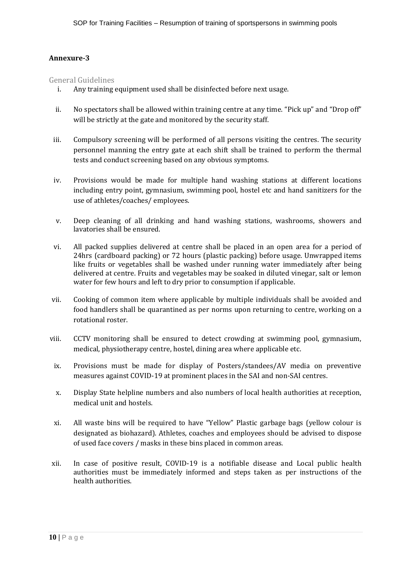# **Annexure-3**

# General Guidelines

- i. Any training equipment used shall be disinfected before next usage.
- ii. No spectators shall be allowed within training centre at any time. "Pick up" and "Drop off" will be strictly at the gate and monitored by the security staff.
- iii. Compulsory screening will be performed of all persons visiting the centres. The security personnel manning the entry gate at each shift shall be trained to perform the thermal tests and conduct screening based on any obvious symptoms.
- iv. Provisions would be made for multiple hand washing stations at different locations including entry point, gymnasium, swimming pool, hostel etc and hand sanitizers for the use of athletes/coaches/ employees.
- v. Deep cleaning of all drinking and hand washing stations, washrooms, showers and lavatories shall be ensured.
- vi. All packed supplies delivered at centre shall be placed in an open area for a period of 24hrs (cardboard packing) or 72 hours (plastic packing) before usage. Unwrapped items like fruits or vegetables shall be washed under running water immediately after being delivered at centre. Fruits and vegetables may be soaked in diluted vinegar, salt or lemon water for few hours and left to dry prior to consumption if applicable.
- vii. Cooking of common item where applicable by multiple individuals shall be avoided and food handlers shall be quarantined as per norms upon returning to centre, working on a rotational roster.
- viii. CCTV monitoring shall be ensured to detect crowding at swimming pool, gymnasium, medical, physiotherapy centre, hostel, dining area where applicable etc.
- ix. Provisions must be made for display of Posters/standees/AV media on preventive measures against COVID-19 at prominent places in the SAI and non-SAI centres.
- x. Display State helpline numbers and also numbers of local health authorities at reception, medical unit and hostels.
- xi. All waste bins will be required to have "Yellow" Plastic garbage bags (yellow colour is designated as biohazard). Athletes, coaches and employees should be advised to dispose of used face covers / masks in these bins placed in common areas.
- xii. In case of positive result, COVID-19 is a notifiable disease and Local public health authorities must be immediately informed and steps taken as per instructions of the health authorities.